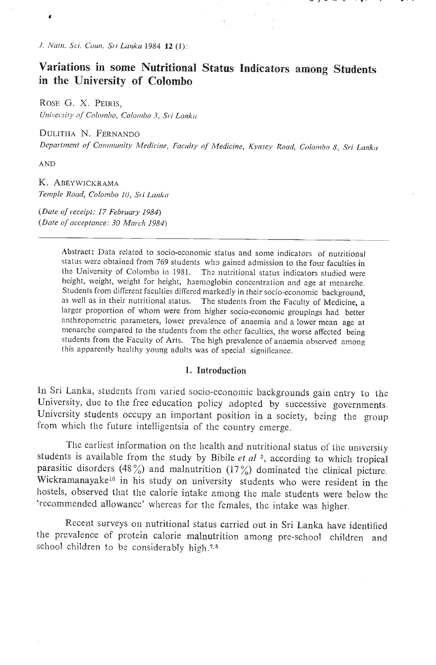*J. Natn. Sci. Coun. Sri Lanka* 1984 12 (1):

# **Variations in** *some* **Nutritional Status Indicators among Students in the University of Colombo**

ROSE G. X. PEIRIS, University of Colombo, Colombo 3, Sri Lanka

# DULITHA N. FERNANDO

*Departrne~zt of Co~iltnl~nit~~ Ailedicb~c, Faculty* oJ *Medicine, liyilsev Roacl,* **ColomAo 8, Sri** *Lrrnkci* 

AND

è

K. ABEYWICKRAMA *Temple Road, Colornbo 10, St i* **Lruikn** 

*(Dnte of receipt: 17 Febnrary 1984) (Date of acceptance: 30 March 1984)* 

> Abstract: Data related to socio-economic status and some indicators of nutritional status werz obtained from 769 students who gained admission to the four faculties in the University of Colombo in 1981. Thz nutritional status indicators studied were height, weight, weight for height, haemoglobin concentration and age at menarche. Students from different faculties differed markedly in their socio-economic background, as well as in their nutritional status. The students from the Faculty of Medicine, a larger proportion of whom were from higher socio-economic groupings had better anthropometric parameters, lower prevalence of anaemia and a lower mean age at menarche compared to the students from the other faculties, the worse affected being students from the Faculty of Arts. The high prevalence of anaemia observed among this apparently healthy young adults was of special significance.

#### 1. Introduction

In Sri Lanka, students from varied socio-economic backgrounds gain entry to the University, due to the free education policy adopted by successive governments. University students occupy an important position in a society, being the group from which the future intelligentsia of the country emerge.

The earliest information on the health and nutritional status of the university students is available from the study by Bibile et a1 **2,** according to which tropical parasitic disorders (48%) and malnutrition (17%) dominated the clinical picture. Wickramanayake'o in his study on university students who were resident **in** the hostels, observed that the calorie intake among the male students were below the 'recommended allowance' whereas for the females, the intake was higher.

Recent surveys on nutritional status carried out in Sri Lanka have identified the prevalence of protein calorie malnutrition among pre-school children and school children to be considerably high 7.8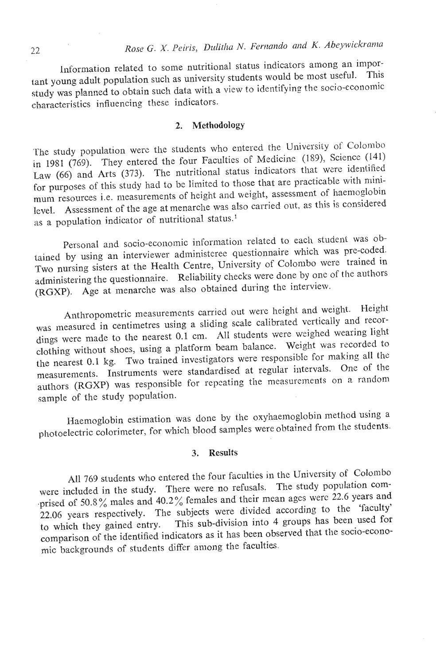Information related to some nutritional status indicators among an important young adult population such as university students would be most useful. This study was planned to obtain such data with a view to identifying the socio-economic characteristics infiuencing these indicators.

#### **2. Methodology**   $2<sub>1</sub>$

The study population were the students who entered the University of Colombo in 1981 (769). They entered the four Faculties of Medicine (189), Science (141) Law (66) and Arts (373). The nutritional status indicators that were identified for purposes of this study had to be limited to those that are practicable with minimum resources i.e. measurements of height and weight, assessment of haemoglobin Ievel. Assessment of the age at menarche was also carried out. as this is considered as a population indicator of nutritional status.'

Personal and socio-economic information related to each student was obtained by using an interviewer administeree questionnaire which was pre-coded. Two nursing sisters at the Health Centre, University of Colombo were trained in administering the questionnaire. Reliability checks were done by one of the authors (RGXP). Age at menarche was also obtained during the interview.

Anthropometric measurements carried out were height and weight. Height was measured in centimetres using a sliding scale calibrated vertically and recordings were made to the nearest 0.1 cm. All students were weighed wearing light clothing without shoes, using a platform beam balance. Weight was recorded to the nearest 0.1 kg. Two trained investigators were responsible for making all the measurements. Instruments were standardised at regular intervals. One of the authors (RGXP) was responsible for repeating the measurements on a random sample of the study population.

Haemoglobin estimation was done by the oxyhaemoglobin method using a photoelectric calorimeter, for which blood samples were obtained from the students.

# **3. Results**

All 769 students who entered the four faculties in the University of Colombo were included in the study. There were no refusals. The study population compised of 50.8% males and 40.2% females and their mean agcs were 22.6 years and  $\frac{22.06 \times 10^{13} \text{ J}}{2.06 \times 10^{13} \text{ J}}$ . The subjects were divided according to the 'faculty'  $t_{100}$  years respectively. The subjects were division into  $\frac{1}{200}$  has been used for comparison of the identified indicators as it has been observed that the socio-econo-<br>comparison of the identified indicators as it has been observed that the socio-economic backgrounds of students differ among the faculties.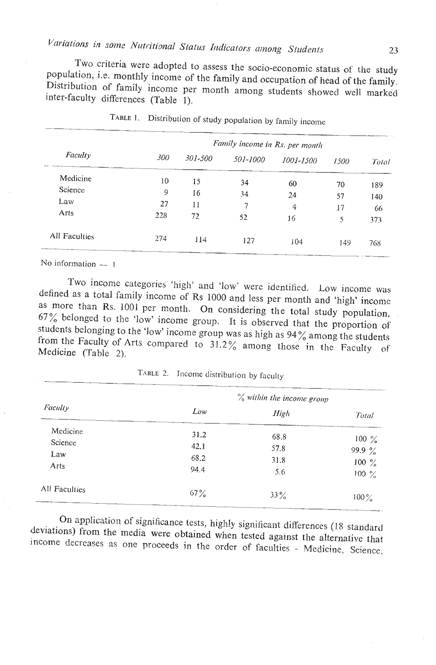Variations in some Nutritional Status Indicators among Students

Two criteria were adopted to assess the socio-economic status of the study population, i.e. monthly income of the family and occupation of head of the family. Distribution of family income per month among students showed well marked inter-faculty differences (Table 1).

|               |     |         |          | Family income in Rs. per month |      |       |
|---------------|-----|---------|----------|--------------------------------|------|-------|
| Faculty       | 300 | 301-500 | 501-1000 | 1001-1500                      | 1500 | Total |
| Medicine      | 10  | 15      | 34       | 60                             | 70   | 189   |
| Science       | 9   | 16      | 34       | 24                             | 57   | 140   |
| Law           | 27  | $_{11}$ | 7        | 4                              | 17   | 66    |
| Arts          | 228 | 72      | 52       | 16                             | 5    | 373   |
| All Faculties | 274 | 114     | 127      | 104                            | 149  | 768   |

TABLE 1. Distribution of study population by family income

No information  $-1$ 

Two income categories 'high' and 'low' were identified. Low income was defined as a total family income of Rs 1000 and less per month and 'high' income as more than Rs. 1001 per month. On considering the total study population, 67% belonged to the 'low' income group. It is observed that the proportion of students belonging to the 'low' income group was as high as  $94\%$  among the students from the Faculty of Arts compared to  $31.2\%$  among those in the Faculty of Medicine (Table 2).

|               |        | $\%$ within the income group |                   |
|---------------|--------|------------------------------|-------------------|
| Faculty       | Low    | High                         | Total             |
| Medicine      | 31,2   | 68.8                         | 100 $\frac{9}{6}$ |
| Science       | 42.1   | 57.8                         | $99.9 \%$         |
| Law           | 68.2   | 31.8                         | 100 $\frac{9}{6}$ |
| Arts          | 94.4   | 5.6                          | $100\frac{9}{6}$  |
| All Faculties | $67\%$ | $33\%$                       | $100\%$           |

TABLE 2. Income distribution by faculty

On application of significance tests, highly significant differences (18 standard deviations) from the media were obtained when tested against the alternative that income decreases as one proceeds in the order of faculties - Medicine, Science,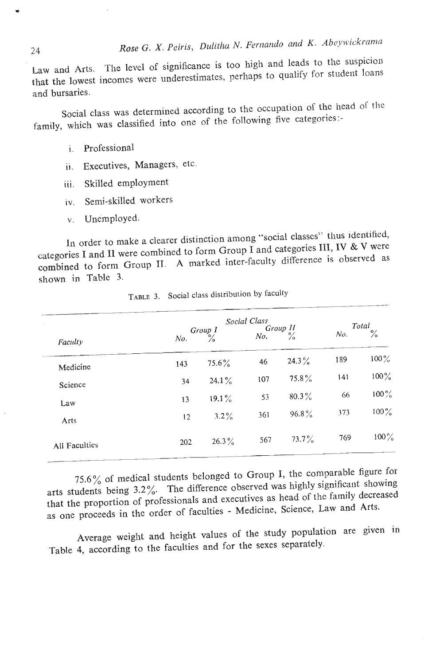Law and Arts. The level of significance is too high and leads to the suspicion  $\alpha$  and Arts. The lover of significance is too  $\alpha$  is  $\alpha$  and  $\beta$  for student loans t the lowest in

Social class was determined according to the occupation of the head of the family, which was cIassified into one of the following five categories:-

- Professional i.
- Executives, Managers, etc.  $\mathbf{u}$
- iii. Skilled employment
- **iv.** Semi-skilled workers
- v. Unemployed.

In order to make a clearer distinction among "social classes" thus identified, categories I and I1 were combined to form Group I and categories 111, IV & V were tegories I and II were combined to form Group 1 and the group of the observed as mbined to form  $\mathbf{u}$ 

|               |     |                          | Social Class | Group II       |     | Total         |
|---------------|-----|--------------------------|--------------|----------------|-----|---------------|
| Faculty       | No. | Group I<br>$\frac{1}{6}$ | No.          | $\frac{6}{10}$ | No. | $\frac{6}{6}$ |
| Medicine      | 143 | $75.6\%$                 | 46           | $24.3\%$       | 189 | $100\%$       |
| Science       | 34  | $24.1\%$                 | 107          | $75.8\%$       | 141 | $100\%$       |
| Law           | 13  | $19.1\%$                 | 53           | $80.3\%$       | 66  | $100\%$       |
| Arts          | 12  | $3.2\%$                  | 361          | $96.8\%$       | 373 | $100\%$       |
| All Faculties | 202 | $26.3\%$                 | 567          | $73.7\%$       | 769 | $100\%$       |

**TABLE 3.** Social class distribution by faculty

75.6% of medical students belonged to Group I, the comparable figure for arts students being **3.2%.** The difference observed was highly significant showing that the proportion of professionals and executives as head of the family decreased **as** one proceeds in the order of faculties - Medicine, Science, Law and Arts.

Average weight and height values of the study population are given in Table 4, according to the faculties and for the sexes separately.

 $24$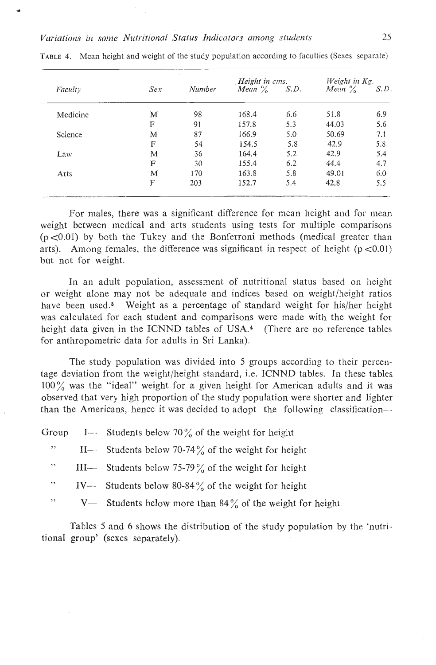|          |             |        | Height in cms. |      | Weight in Kg. |      |
|----------|-------------|--------|----------------|------|---------------|------|
| Faculty  | Sex.        | Number | Mean $\%$      | S.D. | Mean $\%$     | S.D. |
| Medicine | М           | 98     | 168.4          | 6.6  | 51.8          | 6.9  |
|          | F           | 91     | 157.8          | 5.3  | 44.03         | 5.6  |
| Science  | M           | 87     | 166.9          | 5.0  | 50.69         | 7.1  |
|          | F           | 54     | 154.5          | 5.8  | 42.9          | 5.8  |
| Law      | М           | 36     | 164.4          | 5.2  | 42.9          | 5.4  |
|          | $\mathbf F$ | 30     | 155.4          | 6.2  | 44.4          | 4.7  |
| Arts     | М           | 170    | 163.8          | 5.8  | 49.01         | 6.0  |
|          | F           | 203    | 152.7          | 5.4  | 42.8          | 5.5  |

**TABLE 4.** Mean height and weight of the study population according to faculties (Sexes separate)

For males, there was a significant difference for mean height and for mean weight between medical and arts students using tests for multiple comparisons (p *~0.01)* by both the Tukey and the Bonferroni methods (medical greater than arts). Among females, the difference was significant in respect of height ( $p < 0.01$ ) but not for weight.

In an adult population, assessment of nutritional status based on height or weight alone may not be adequate and indices based on weight/height ratios have been used.<sup>5</sup> Weight as a percentage of standard weight for his/her height was calculated for each student and comparisons were made with the weight for height data given in the ICNND tables of USA.<sup>4</sup> (There are no reference tables for anthropometric data for adults in Sri Lanka).

The study population was divided into 5 groups according to their percentage deviation from the weight/height standard, i.e. ICNND tables. In these tables  $100\%$  was the "ideal" weight for a given height for American adults and it was observed that very high proportion of the study population were shorter and lighter than the Americans, hence it was decided to adopt the following classification---

Group I-- Students below 70% of the weight for height

- " 11- Students below 70-74% of the weight for height
- III- Students below 75-79% of the weight for height
- $"$  IV- Students below 80-84% of the weight for height
- $"$  V- Students below more than 84% of the weight for height

Tables 5 and 6 shows the distribution of the study population by the 'nutritional group' (sexes separately).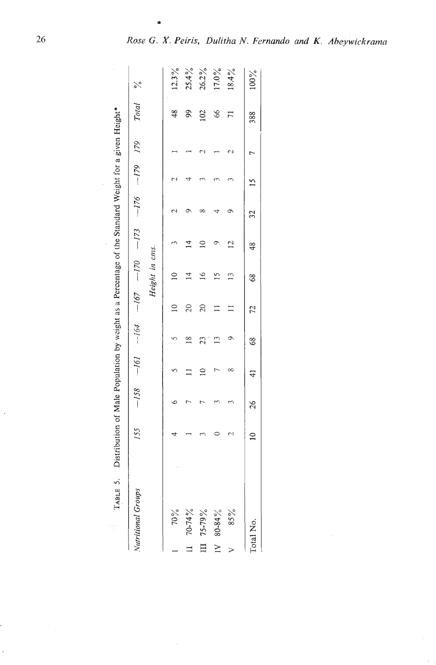| ֚֘֝<br>$\mathbf{I}$                           |  |
|-----------------------------------------------|--|
|                                               |  |
|                                               |  |
| ֖֖֪ׅ֖֧֪ׅ֖֚֚֚֚֚֚֚֚֚֚֚֚֚֚֚֚֚֚֚֚֚֚֡֝֝֝֝֝֬֝֝<br>ļ |  |
|                                               |  |
| Į                                             |  |
| i<br>֘֒<br>Í                                  |  |

|                    | TABLE 5. Distribution of Male Population by weight as a Percentage of the Standard Weight for a given Height* |               |   |                          |                |                                                         |    |               |       |          |
|--------------------|---------------------------------------------------------------------------------------------------------------|---------------|---|--------------------------|----------------|---------------------------------------------------------|----|---------------|-------|----------|
| Nutritional Groups | 155                                                                                                           |               |   |                          |                | $-158$ $-161$ $-164$ $-170$ $-170$ $-175$ $-179$ $-179$ |    |               | Total |          |
|                    |                                                                                                               |               |   |                          | Height in cms. |                                                         |    |               |       |          |
| 70%                |                                                                                                               |               |   |                          |                |                                                         |    |               | 48    | $12.3\%$ |
| 70-74%             |                                                                                                               |               | ≌ | $\frac{5}{2}$            |                |                                                         |    |               | 99    | 25.4%    |
| $75 - 79\%$        |                                                                                                               |               |   | $\overline{\mathcal{E}}$ |                |                                                         |    |               | 102   | 26.2%    |
| 80-84%<br>≥        |                                                                                                               |               |   |                          |                |                                                         |    |               | 89    | 17.0%    |
| 85%                |                                                                                                               |               |   |                          |                |                                                         |    |               |       | 18.4%    |
| Total No.          |                                                                                                               | $\frac{8}{2}$ | 8 | 72                       | 68             | $\frac{8}{3}$                                           | 32 | $\frac{2}{3}$ | 388   | $100\%$  |

ä

 $\bar{z}$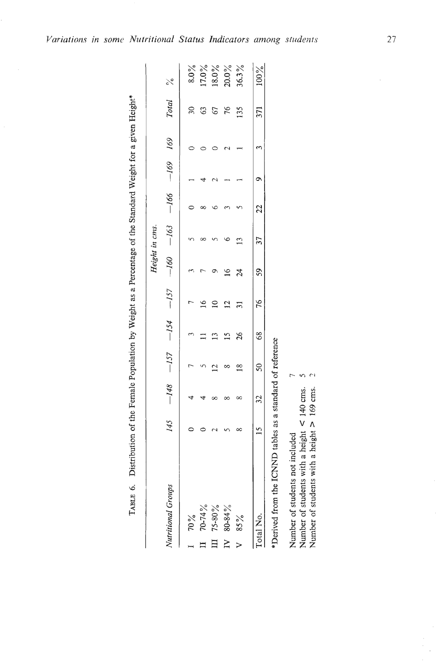|                                                           |               |                                                               |                |               |    |    | Height in cms. |                |         |                |         |          |
|-----------------------------------------------------------|---------------|---------------------------------------------------------------|----------------|---------------|----|----|----------------|----------------|---------|----------------|---------|----------|
| Nutritional Groups                                        |               | $145$ $-148$ $-157$ $-154$ $-160$ $-163$ $-166$ $-169$ $-169$ |                |               |    |    |                |                |         |                | Total % |          |
| 70%                                                       |               |                                                               |                |               |    |    |                |                |         |                |         | 8.0%     |
| $70 - 74\%$                                               |               |                                                               |                |               |    |    |                |                |         |                | S       | $17.0\%$ |
| 75-80%                                                    |               |                                                               |                |               |    |    |                |                |         |                |         | 18.0%    |
| 80-84%<br>$\mathbf{N}$                                    |               |                                                               |                |               |    | ≌  |                |                |         |                | 76      | 20.0%    |
| 85%<br>$\triangleright$                                   |               |                                                               | $\frac{8}{10}$ | 26            |    | 24 |                |                |         |                | 135     | 36.3%    |
| Total No.                                                 | $\frac{5}{1}$ | 32                                                            | SO             | $\frac{8}{6}$ | 76 | 59 | 37             | $\frac{22}{3}$ | $\circ$ | $\mathfrak{m}$ | 371     | 100%     |
| *Derived from the ICNND tables as a standard of reference |               |                                                               |                |               |    |    |                |                |         |                |         |          |
| Number of students not included                           |               |                                                               |                |               |    |    |                |                |         |                |         |          |

 $\frac{1}{2}$ 

Number of students with a height  $\leq$  140 cms.<br>Number of students with a height  $\geq$  169 cms.

 $\overline{a}$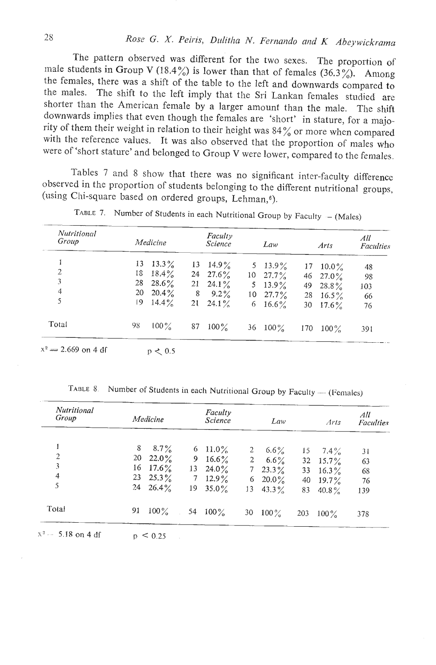The pattern observed was different for the two sexes. The proportion of male students in Group V (18.4%) is lower than that of females  $(36.3\%)$ . Among the females, there was a shift of the table to the left and downwards compared to the males. The shift to the left imply that the Sri Lankan females studied are shorter than the American female by a larger amount than the male. The shift downwards implies that even though the femalcs are 'short' in stature, for a majority of them their weight in relation to their height was 84% or more when compared with the reference values. It was also observed that the proportion of males who were of 'short stature' and belonged to Group V were lower, compared to the femalcs.

Tables 7 and 8 show that there was no significant inter-faculty difference observed in the proportion of students belonging to the different nutritional groups, (using Chi-square based on ordered groups, Lehman, $6$ ).

|    |          |                 | Faculty<br>Science |                            | Law     |                                                                       | Arts                 | All<br><b>Faculties</b>                                   |
|----|----------|-----------------|--------------------|----------------------------|---------|-----------------------------------------------------------------------|----------------------|-----------------------------------------------------------|
| 13 | $13.3\%$ | 13              |                    |                            |         |                                                                       |                      | 48                                                        |
| 18 | 18.4%    |                 |                    |                            |         |                                                                       |                      | 98                                                        |
| 28 | $28.6\%$ |                 | $24.1\%$           | 5                          |         |                                                                       |                      | 103                                                       |
| 20 | $20.4\%$ | 8               | $9.2\%$            |                            |         |                                                                       |                      | 66                                                        |
| 19 | $14.4\%$ | 21              | $24.1\%$           | 6                          |         |                                                                       |                      | 76                                                        |
| 98 | $100\%$  | 87              | $100\%$            | 36                         | $100\%$ | 170                                                                   | $100\%$              | 391                                                       |
|    |          | <i>Medicine</i> |                    | $14.9\%$<br>24 27.6%<br>21 |         | 5 13.9%<br>$27.7\%$<br>10<br>$13.9\%$<br>$10\quad 27.7\%$<br>$16.6\%$ | 17<br>46<br>49<br>28 | $10.0\%$<br>$27.0\%$<br>$28.8\%$<br>16.5 $\%$<br>30 17.6% |

The Theorem 7. Number of Students in each Nutritional Group by Faculty  $-$  (Males) -

TABLE 8. Number of Students in each Nutritional Group by Faculty — (Females)

| Nutritional<br>Group |    | Medicine              |    | Faculty<br>Science |                | Law                |     | Arts        | All<br><b>Faculties</b> |
|----------------------|----|-----------------------|----|--------------------|----------------|--------------------|-----|-------------|-------------------------|
|                      | 8  | $8.7\%$               |    | 6 11.0%            | $\overline{2}$ | $6.6\%$            | 15  | $7.4\%$     | 31                      |
| 2                    |    | 20 22.0 $\frac{9}{6}$ | 9. | $16.6\%$           | $2^{\circ}$    | $6.6\%$            |     | 32 $15.7\%$ | 63                      |
| 3                    | 16 | $17.6\%$              |    | $13\quad 24.0\%$   | $7^{\circ}$    | $23.3\%$           |     | 33 $16.3\%$ | 68                      |
| 4                    |    | 23 25.3 $\frac{9}{6}$ | 7  | $12.9\%$           | 6              | $20.0\%$           | 40  | $19.7\%$    | 76                      |
| 5                    |    | 24 26.4 $\frac{9}{6}$ |    | $19\quad 35.0\%$   | 13             | 43.3 $\frac{9}{6}$ | 83  | 40.8%       | 139                     |
| Total                | 91 | $100\%$               |    | 54 $100\%$         | 30             | $100\%$            | 203 | $100\%$     | 378                     |
| $x^3 - 5.18$ on 4 df |    | $p \le 0.25$          |    |                    |                |                    |     |             |                         |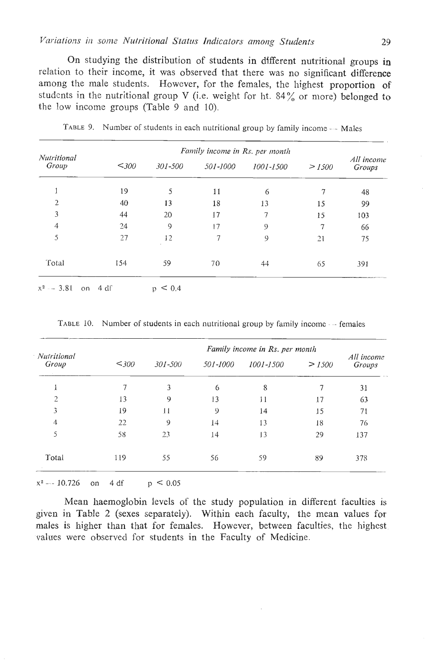On studying the distribution of students in different nutritional groups **in**  relation to their income, it was observed that there was no significant difference among the male students. However, for the females, the highest proportion of students in the nutritional group V (i.e. weight for ht.  $84\%$  or more) belonged to the low income groups (Table 9 and 10).

| Nutritional |       |         | Family income in Rs. per month |               |        |                      |
|-------------|-------|---------|--------------------------------|---------------|--------|----------------------|
| Group       | $300$ | 301-500 | 501-1000                       | 1001-1500     | > 1500 | All income<br>Groups |
|             | 19    | 5       | 11                             | 6             | 7      | 48                   |
| 2           | 40    | 13      | 18                             | 13            | 15     | 99                   |
| 3           | 44    | 20      | 17                             | $\mathcal{I}$ | 15     | 103                  |
| 4           | 24    | 9       | 17                             | $\circ$       | 7      | 66                   |
| 5           | 27    | 12      | $\overline{7}$                 | 9             | 21     | 75                   |
| Total       | 154   | 59      | 70                             | 44            | 65     | 391                  |

TABLE 9. Number of students in each nutritional group by family income -- Males

|  | TABLE 10. Number of students in each nutritional group by family income ---- females |  |  |  |  |  |  |
|--|--------------------------------------------------------------------------------------|--|--|--|--|--|--|
|--|--------------------------------------------------------------------------------------|--|--|--|--|--|--|

| < 300 | 301-500 | 501-1000 | 1001-1500 | > 1500 | All income<br>Groups           |
|-------|---------|----------|-----------|--------|--------------------------------|
| 7     | 3       | 6        | 8         |        | 31                             |
| 13    | 9       | 13       | 11        | 17     | 63                             |
| 19    | П       | 9        | 14        | 15     | 71                             |
| 22    | 9       | 14       | 13        | 18     | 76                             |
| 58    | 23      | 14       | 13        | 29     | 137                            |
| 119   | 55      | 56       | 59        | 89     | 378                            |
|       |         |          |           |        | Family income in Rs. per month |

 $x^2 = 10.726$  on 4 df  $p \le 0.05$ 

Meau haemoglobin levels of the study population in different faculties is given in Table 2 (sexes separately). Within each faculty, the mean values for males is higher than that for females. However, between faculties, the highest, values were observed for students in the Faculty of Medicine.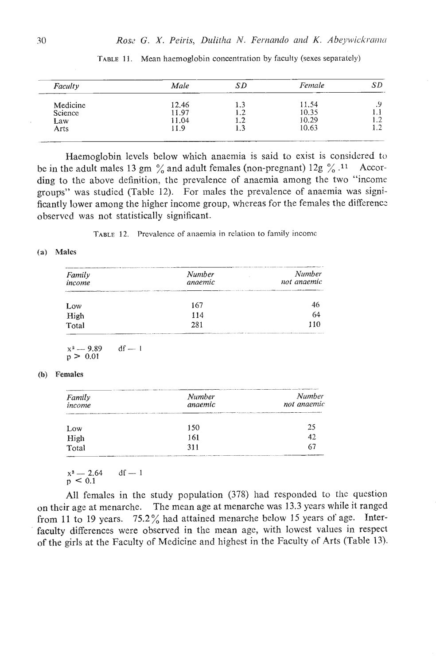| Faculty  | Male  | SD  | Female |     |
|----------|-------|-----|--------|-----|
| Medicine | 12.46 | 1.3 | 11.54  |     |
| Science  | 11.97 | 1.2 | 10.35  |     |
| Law      | 11.04 | 1.2 | 10.29  | 1.2 |
| Arts     | 11.9  |     | 10.63  |     |

TABLE 11. Mean haemoglobin concentration by faculty (sexes separately)

Haemoglobin levels below which anaemia is said to exist is considered to be in the adult males 13 gm % and adult feinales (non-pregnant) 12g % **.11** According to the above definition, the prevalence of anaemia among the two "income groups" was studied (Table 12). For inales the prevalence of anaemia was significantly lower among the higher income group, whereas for the females the diffcrenc; observed was not statistically significant.

#### **(a) Rlales**

|                  | TABLE 12. Prevalence of anaemia in relation to family income |                       |  |
|------------------|--------------------------------------------------------------|-----------------------|--|
| ıles             |                                                              |                       |  |
| Family<br>income | Number<br>anaemic                                            | Number<br>not anaemic |  |
| Low              | 167                                                          | 46                    |  |
| High             | 114                                                          | 64                    |  |
| Total            | 281                                                          | 110                   |  |

 $df = 1$  $x^2 - 9.89$  $n > 0.01$ 

#### **(b) Felriales**

| p > 0.01         |                                                                      |                                                                                                                              |
|------------------|----------------------------------------------------------------------|------------------------------------------------------------------------------------------------------------------------------|
| nales            |                                                                      |                                                                                                                              |
| Family<br>income | Number<br>anaemic<br><b>CEA TRANSPORTER IN CONTRACTOR/CONTRACTOR</b> | the property of the company of the field of the Company of the T. Additional and the Company of the<br>Number<br>not anaemic |
| Low              | 150                                                                  | 25                                                                                                                           |
| High             | 161                                                                  | 42                                                                                                                           |
| Total            | 311                                                                  | 67                                                                                                                           |
|                  |                                                                      |                                                                                                                              |

 $df - 1$  $x^2 - 2.64$  $p = 0.1$ 

All females in the study population (378) had responded to thc question on their age at menarche. The mean age at menarche was 13.3 years while it ranged from 11 to 19 years.  $75.2\%$  had attained menarche below 15 years of age. Interfaculty differences were observed in the mean age, with lowest values in respect of the girls at the Faculty of Medicine and highest in the Faculty **of** Arts (Table **13).**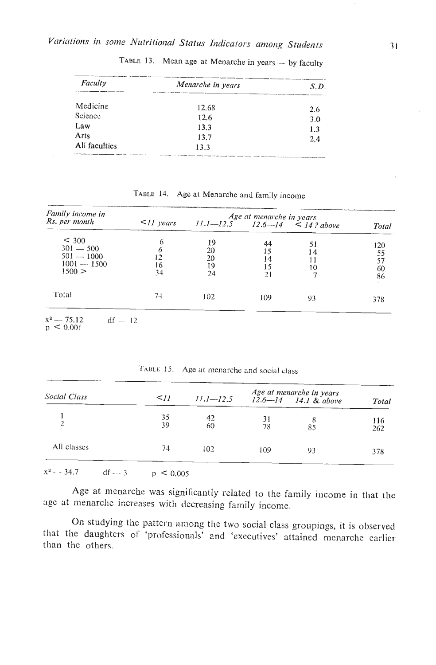| Faculty       | Menarche in years | S.D. |  |
|---------------|-------------------|------|--|
| Medicine      | 12.68             | 2.6  |  |
| Science       | 12.6              | 3.0  |  |
| Law           | 13.3              | 1.3  |  |
| Arts          | 13.7              | 2.4  |  |
| All faculties | 13.3              |      |  |

TABLE 13. Mean age at Menarche in years - by faculty

TABLE 14. Age at Menarche and family income

| Family income in<br>Rs. per month                               | Age at menarche in years          |                            |                            |                                       |                             |
|-----------------------------------------------------------------|-----------------------------------|----------------------------|----------------------------|---------------------------------------|-----------------------------|
|                                                                 | $\leq$ <i>II</i> years            |                            |                            | $11.1 - 12.5$ $12.6 - 14$ < 14? above | Total                       |
| < 300<br>$301 - 500$<br>$501 - 1000$<br>$1001 - 1500$<br>1500 > | $\Diamond$<br>6<br>12<br>16<br>34 | 19<br>20<br>20<br>19<br>24 | 44<br>15<br>14<br>15<br>21 | 51<br>14<br>10                        | 120<br>55<br>57<br>60<br>86 |
| Total                                                           | 74                                | 102                        | 109                        | 93                                    | 378                         |

 $p \leq 0.001$ 

| Social Class | $\leq$ 11 | $11.1 - 12.5$ |          | Age at menarche in years<br>$12.6 - 14$ 14.1 & above | Total      |
|--------------|-----------|---------------|----------|------------------------------------------------------|------------|
|              | 35<br>39  | 42<br>60      | 31<br>78 | 85                                                   | 116<br>262 |
| All classes  | 74        | 102           | 109      | 93                                                   | 378        |

TABLE 15. Age at menarche and social class

 $x^2 - 34.7$  $df - 3$  $p \le 0.005$ 

Age at menarche was significantly related to the family income in that the age at menarche increases with decreasing family income.

On studying the pattern among the two social class groupings, it is observed that the daughters of 'professionals' and 'executives' attained menarche earlier than the others.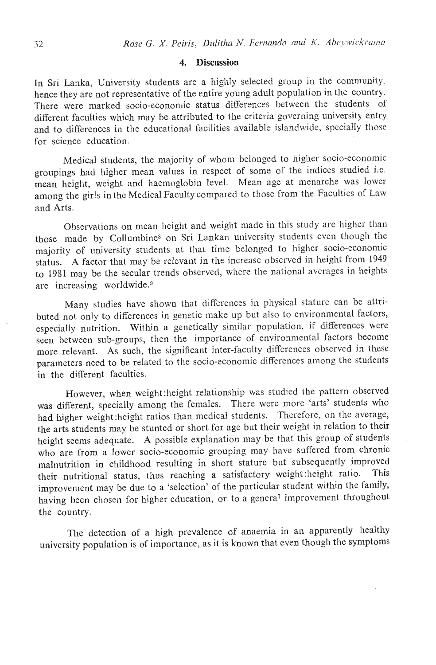## **4. Discussion**

In Sri Lanka, University students are a highly selected group in the community, hence they are not representative of the entire young adult population in the country. There were marked socio-economic status differences between the students of different faculties which may be attributed to the criteria governing university entry and to differences in the educational facilities available islandwide, specially these for science education.

Medical students, the majority of whom belonged to higher socio-economic groupings had higher mean values in respect of some of thc indices studied i.c. mean height, weight and haemoglobin level. Mean age at menarche was lower among the girls in the Medical Faculty compared to those from the Faculties of Law and Arts.

Observations on mean height and weight made in this study are highcr than those made by Collumbine3 on Sri Lankan university students even though the majority of university students at that time belonged to higher socio-economic status. A factor that may be relevant in the increase observed in height from 1919 to 1981 may be the secular trends observed, whcre the national averages in heights are increasing worldwide."

Many studies have shown that differences in physical stature can be attributed not only to differences in genetic make up but also to environmental factors, especially nutrition. Within a genetically similar population, if differences were seen between sub-groups, then the importance of environmental factors become more relevant. As such, the significant inter-faculty differences obscrvcd in thesc parameters need to be related to the socio-economic differences among the students in the different faculties.

However, when weight:height relationship was studied the pattern observed was different, specially among the females. There were more 'arts' students who had higher weight :height ratios than medical students. Therefore, on the average, the arts students may be stunted or short for age but their weight in relation to their height seems adequate. A possible explanation may be that this group of students who are from a lower socio-economic grouping may have suffered from chronic malnutrition in childhood resulting in short stature bnt subsequently improved their nutritional status, thus reaching a satisfactory weight:height ratio. This improvement may be due to a 'selection' of the particular student within the family, having been chosen for higher education, or to a general improvement throughout the country.

The detection of a high prevalence of anaemia in an apparently healthy university population is of importance, as it is known that even though the symptoms